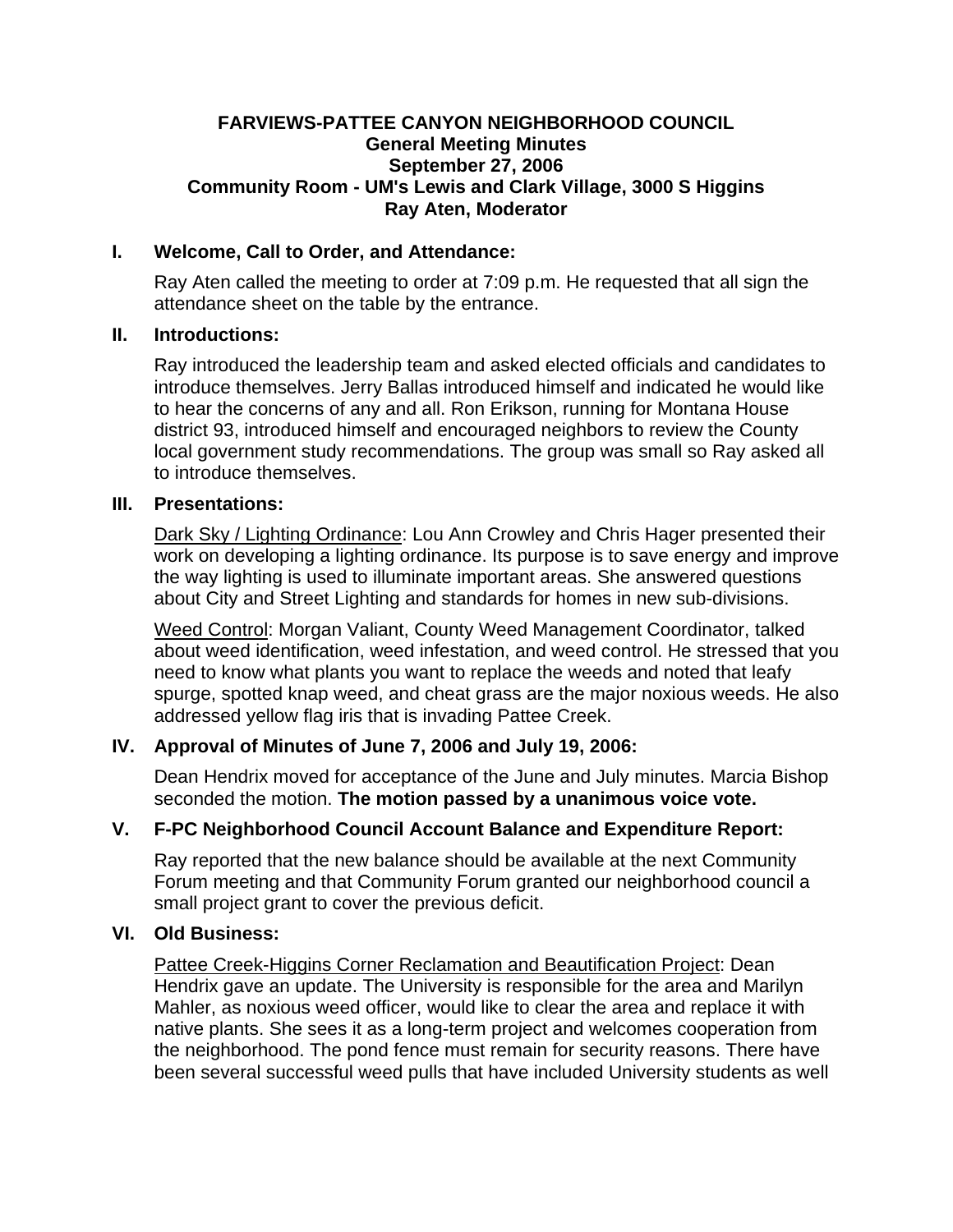#### **FARVIEWS-PATTEE CANYON NEIGHBORHOOD COUNCIL General Meeting Minutes September 27, 2006 Community Room - UM's Lewis and Clark Village, 3000 S Higgins Ray Aten, Moderator**

#### **I. Welcome, Call to Order, and Attendance:**

Ray Aten called the meeting to order at 7:09 p.m. He requested that all sign the attendance sheet on the table by the entrance.

#### **II. Introductions:**

Ray introduced the leadership team and asked elected officials and candidates to introduce themselves. Jerry Ballas introduced himself and indicated he would like to hear the concerns of any and all. Ron Erikson, running for Montana House district 93, introduced himself and encouraged neighbors to review the County local government study recommendations. The group was small so Ray asked all to introduce themselves.

#### **III. Presentations:**

Dark Sky / Lighting Ordinance: Lou Ann Crowley and Chris Hager presented their work on developing a lighting ordinance. Its purpose is to save energy and improve the way lighting is used to illuminate important areas. She answered questions about City and Street Lighting and standards for homes in new sub-divisions.

Weed Control: Morgan Valiant, County Weed Management Coordinator, talked about weed identification, weed infestation, and weed control. He stressed that you need to know what plants you want to replace the weeds and noted that leafy spurge, spotted knap weed, and cheat grass are the major noxious weeds. He also addressed yellow flag iris that is invading Pattee Creek.

# **IV. Approval of Minutes of June 7, 2006 and July 19, 2006:**

Dean Hendrix moved for acceptance of the June and July minutes. Marcia Bishop seconded the motion. **The motion passed by a unanimous voice vote.**

# **V. F-PC Neighborhood Council Account Balance and Expenditure Report:**

Ray reported that the new balance should be available at the next Community Forum meeting and that Community Forum granted our neighborhood council a small project grant to cover the previous deficit.

# **VI. Old Business:**

Pattee Creek-Higgins Corner Reclamation and Beautification Project: Dean Hendrix gave an update. The University is responsible for the area and Marilyn Mahler, as noxious weed officer, would like to clear the area and replace it with native plants. She sees it as a long-term project and welcomes cooperation from the neighborhood. The pond fence must remain for security reasons. There have been several successful weed pulls that have included University students as well